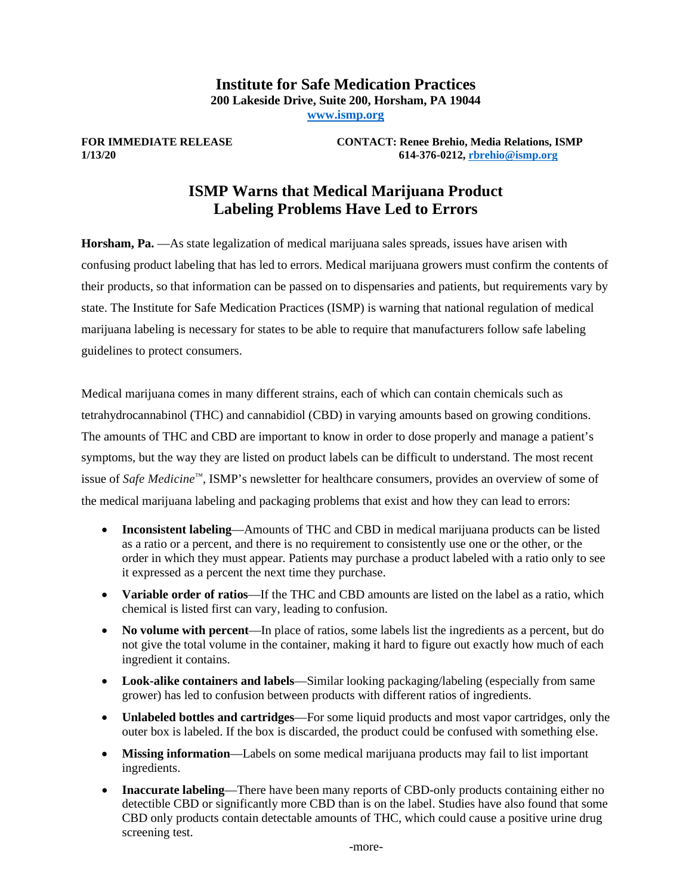## **Institute for Safe Medication Practices 200 Lakeside Drive, Suite 200, Horsham, PA 19044 [www.ismp.org](http://www.ismp.org/)**

**FOR IMMEDIATE RELEASE CONTACT: Renee Brehio, Media Relations, ISMP 1/13/20 614-376-0212[, rbrehio@ismp.org](mailto:rbrehio@ismp.org)**

# **ISMP Warns that Medical Marijuana Product Labeling Problems Have Led to Errors**

**Horsham, Pa.** —As state legalization of medical marijuana sales spreads, issues have arisen with confusing product labeling that has led to errors. Medical marijuana growers must confirm the contents of their products, so that information can be passed on to dispensaries and patients, but requirements vary by state. The Institute for Safe Medication Practices (ISMP) is warning that national regulation of medical marijuana labeling is necessary for states to be able to require that manufacturers follow safe labeling guidelines to protect consumers.

Medical marijuana comes in many different strains, each of which can contain chemicals such as tetrahydrocannabinol (THC) and cannabidiol (CBD) in varying amounts based on growing conditions. The amounts of THC and CBD are important to know in order to dose properly and manage a patient's symptoms, but the way they are listed on product labels can be difficult to understand. The most recent issue of *Safe Medicine*™, ISMP's newsletter for healthcare consumers, provides an overview of some of the medical marijuana labeling and packaging problems that exist and how they can lead to errors:

- **Inconsistent labeling**—Amounts of THC and CBD in medical marijuana products can be listed as a ratio or a percent, and there is no requirement to consistently use one or the other, or the order in which they must appear. Patients may purchase a product labeled with a ratio only to see it expressed as a percent the next time they purchase.
- **Variable order of ratios**—If the THC and CBD amounts are listed on the label as a ratio, which chemical is listed first can vary, leading to confusion.
- **No volume with percent**—In place of ratios, some labels list the ingredients as a percent, but do not give the total volume in the container, making it hard to figure out exactly how much of each ingredient it contains.
- **Look-alike containers and labels**—Similar looking packaging/labeling (especially from same grower) has led to confusion between products with different ratios of ingredients.
- **Unlabeled bottles and cartridges**—For some liquid products and most vapor cartridges, only the outer box is labeled. If the box is discarded, the product could be confused with something else.
- **Missing information—Labels on some medical marijuana products may fail to list important** ingredients.
- **Inaccurate labeling—There have been many reports of CBD-only products containing either no** detectible CBD or significantly more CBD than is on the label. Studies have also found that some CBD only products contain detectable amounts of THC, which could cause a positive urine drug screening test.